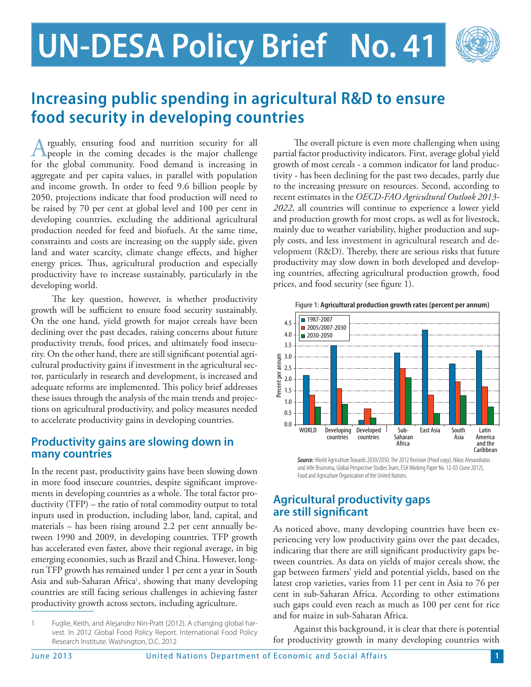# **UN-DESA Policy Brief No. 41**



## **Increasing public spending in agricultural R&D to ensure food security in developing countries**

rguably, ensuring food and nutrition security for all people in the coming decades is the major challenge for the global community. Food demand is increasing in aggregate and per capita values, in parallel with population and income growth. In order to feed 9.6 billion people by 2050, projections indicate that food production will need to be raised by 70 per cent at global level and 100 per cent in developing countries, excluding the additional agricultural production needed for feed and biofuels. At the same time, constraints and costs are increasing on the supply side, given land and water scarcity, climate change effects, and higher energy prices. Thus, agricultural production and especially productivity have to increase sustainably, particularly in the developing world.

The key question, however, is whether productivity growth will be sufficient to ensure food security sustainably. On the one hand, yield growth for major cereals have been declining over the past decades, raising concerns about future productivity trends, food prices, and ultimately food insecurity. On the other hand, there are still significant potential agricultural productivity gains if investment in the agricultural sector, particularly in research and development, is increased and adequate reforms are implemented. This policy brief addresses these issues through the analysis of the main trends and projections on agricultural productivity, and policy measures needed to accelerate productivity gains in developing countries.

#### **Productivity gains are slowing down in many countries**

In the recent past, productivity gains have been slowing down in more food insecure countries, despite significant improvements in developing countries as a whole. The total factor productivity (TFP) – the ratio of total commodity output to total inputs used in production, including labor, land, capital, and materials – has been rising around 2.2 per cent annually between 1990 and 2009, in developing countries. TFP growth has accelerated even faster, above their regional average, in big emerging economies, such as Brazil and China. However, longrun TFP growth has remained under 1 per cent a year in South Asia and sub-Saharan Africa<sup>1</sup>, showing that many developing countries are still facing serious challenges in achieving faster productivity growth across sectors, including agriculture.

1 Fuglie, Keith, and Alejandro Nin-Pratt (2012). A changing global harvest. In 2012 Global Food Policy Report. International Food Policy Research Institute. Washington, D.C. 2012

The overall picture is even more challenging when using partial factor productivity indicators. First, average global yield growth of most cereals - a common indicator for land productivity - has been declining for the past two decades, partly due to the increasing pressure on resources. Second, according to recent estimates in the *OECD-FAO Agricultural Outlook 2013- 2022*, all countries will continue to experience a lower yield and production growth for most crops, as well as for livestock, mainly due to weather variability, higher production and supply costs, and less investment in agricultural research and development (R&D). Thereby, there are serious risks that future productivity may slow down in both developed and developing countries, affecting agricultural production growth, food prices, and food security (see figure 1).



Figure 1: **Agricultural production growth rates (percent per annum)**

*Source:* World Agriculture Towards 2030/2050: The 2012 Revision (Proof copy), Nikos Alexandratos and Jelle Bruinsma, Global Perspective Studies Team, ESA Working Paper No. 12-03 (June 2012), Food and Agriculture Organization of the United Nations.

### **Agricultural productivity gaps are still significant**

As noticed above, many developing countries have been experiencing very low productivity gains over the past decades, indicating that there are still significant productivity gaps between countries. As data on yields of major cereals show, the gap between farmers' yield and potential yields, based on the latest crop varieties, varies from 11 per cent in Asia to 76 per cent in sub-Saharan Africa. According to other estimations such gaps could even reach as much as 100 per cent for rice and for maize in sub-Saharan Africa.

Against this background, it is clear that there is potential for productivity growth in many developing countries with